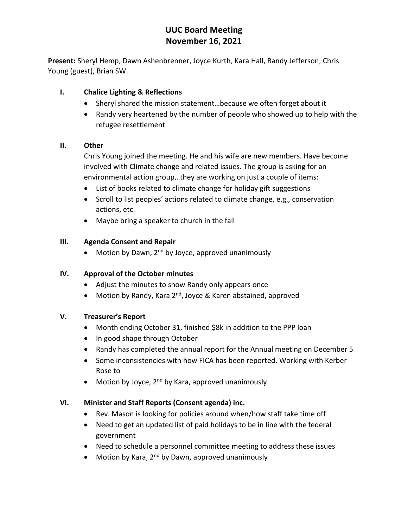# **UUC Board Meeting November 16, 2021**

**Present:** Sheryl Hemp, Dawn Ashenbrenner, Joyce Kurth, Kara Hall, Randy Jefferson, Chris Young (guest), Brian SW.

## **I. Chalice Lighting & Reflections**

- Sheryl shared the mission statement…because we often forget about it
- Randy very heartened by the number of people who showed up to help with the refugee resettlement

### **II. Other**

Chris Young joined the meeting. He and his wife are new members. Have become involved with Climate change and related issues. The group is asking for an environmental action group…they are working on just a couple of items:

- List of books related to climate change for holiday gift suggestions
- Scroll to list peoples' actions related to climate change, e.g., conservation actions, etc.
- Maybe bring a speaker to church in the fall

## **III. Agenda Consent and Repair**

• Motion by Dawn,  $2^{nd}$  by Joyce, approved unanimously

### **IV. Approval of the October minutes**

- Adjust the minutes to show Randy only appears once
- Motion by Randy, Kara 2<sup>nd</sup>, Joyce & Karen abstained, approved

# **V. Treasurer's Report**

- Month ending October 31, finished \$8k in addition to the PPP loan
- In good shape through October
- Randy has completed the annual report for the Annual meeting on December 5
- Some inconsistencies with how FICA has been reported. Working with Kerber Rose to
- Motion by Joyce, 2<sup>nd</sup> by Kara, approved unanimously

# **VI. Minister and Staff Reports (Consent agenda) inc.**

- Rev. Mason is looking for policies around when/how staff take time off
- Need to get an updated list of paid holidays to be in line with the federal government
- Need to schedule a personnel committee meeting to address these issues
- Motion by Kara, 2<sup>nd</sup> by Dawn, approved unanimously